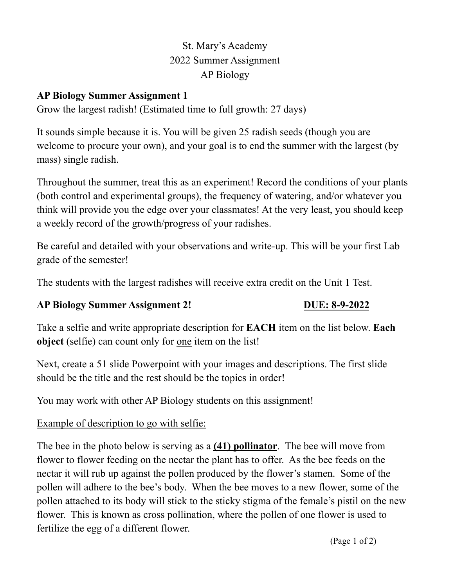# St. Mary's Academy 2022 Summer Assignment AP Biology

### **AP Biology Summer Assignment 1**

Grow the largest radish! (Estimated time to full growth: 27 days)

It sounds simple because it is. You will be given 25 radish seeds (though you are welcome to procure your own), and your goal is to end the summer with the largest (by mass) single radish.

Throughout the summer, treat this as an experiment! Record the conditions of your plants (both control and experimental groups), the frequency of watering, and/or whatever you think will provide you the edge over your classmates! At the very least, you should keep a weekly record of the growth/progress of your radishes.

Be careful and detailed with your observations and write-up. This will be your first Lab grade of the semester!

The students with the largest radishes will receive extra credit on the Unit 1 Test.

### **AP Biology Summer Assignment 2! DUE: 8-9-2022**

Take a selfie and write appropriate description for **EACH** item on the list below. **Each object** (selfie) can count only for one item on the list!

Next, create a 51 slide Powerpoint with your images and descriptions. The first slide should be the title and the rest should be the topics in order!

You may work with other AP Biology students on this assignment!

## Example of description to go with selfie:

The bee in the photo below is serving as a **(41) pollinator**. The bee will move from flower to flower feeding on the nectar the plant has to offer. As the bee feeds on the nectar it will rub up against the pollen produced by the flower's stamen. Some of the pollen will adhere to the bee's body. When the bee moves to a new flower, some of the pollen attached to its body will stick to the sticky stigma of the female's pistil on the new flower. This is known as cross pollination, where the pollen of one flower is used to fertilize the egg of a different flower.